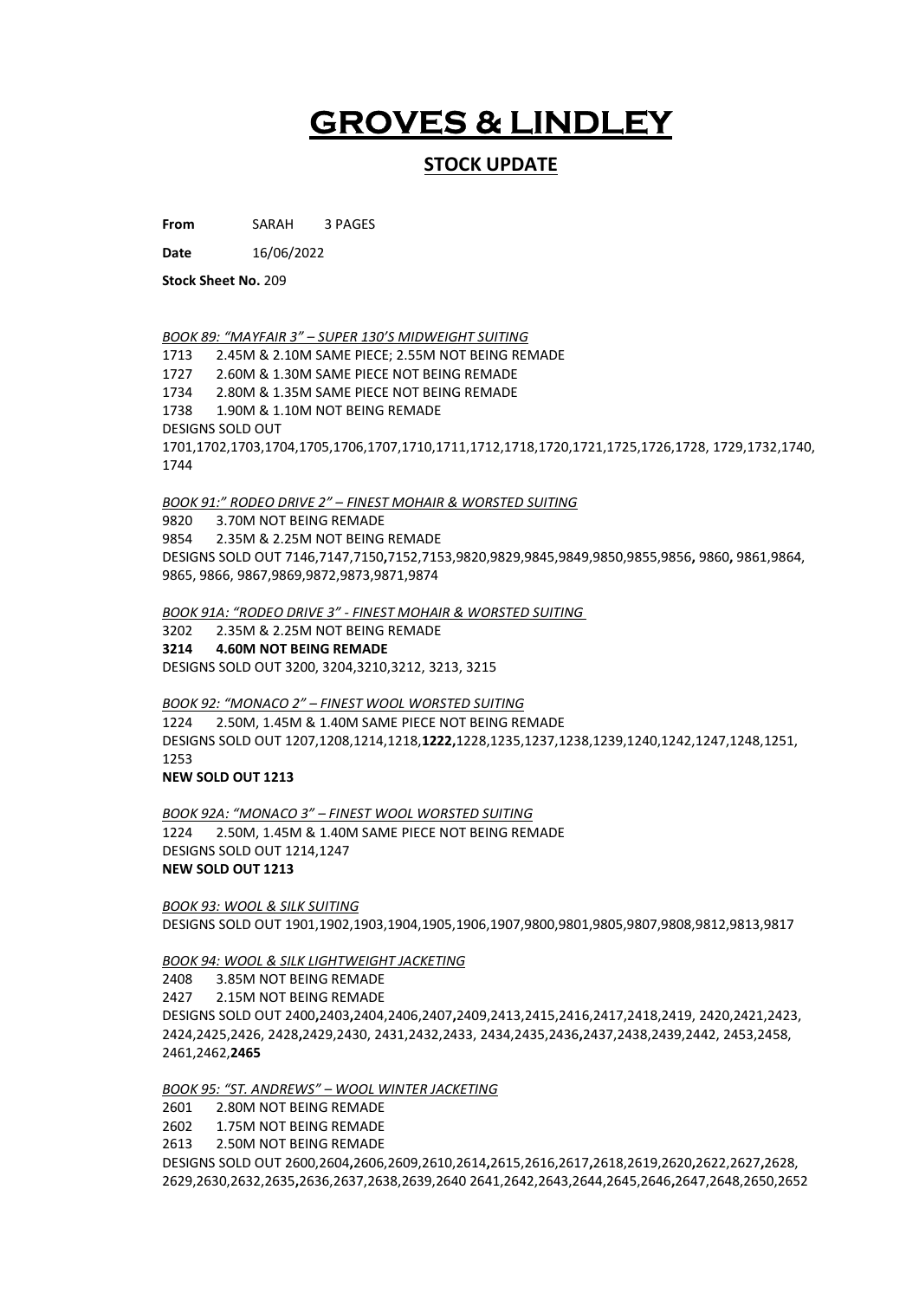# GROVES & LINDLEY

## STOCK UPDATE

From SARAH 3 PAGES

Date 16/06/2022

Stock Sheet No. 209

BOOK 89: "MAYFAIR 3" - SUPER 130'S MIDWEIGHT SUITING

1713 2.45M & 2.10M SAME PIECE; 2.55M NOT BEING REMADE 1727 2.60M & 1.30M SAME PIECE NOT BEING REMADE 1734 2.80M & 1.35M SAME PIECE NOT BEING REMADE 1738 1.90M & 1.10M NOT BEING REMADE DESIGNS SOLD OUT 1701,1702,1703,1704,1705,1706,1707,1710,1711,1712,1718,1720,1721,1725,1726,1728, 1729,1732,1740, 1744

BOOK 91:" RODEO DRIVE 2" – FINEST MOHAIR & WORSTED SUITING

9820 3.70M NOT BEING REMADE 9854 2.35M & 2.25M NOT BEING REMADE DESIGNS SOLD OUT 7146,7147,7150,7152,7153,9820,9829,9845,9849,9850,9855,9856, 9860, 9861,9864, 9865, 9866, 9867,9869,9872,9873,9871,9874

BOOK 91A: "RODEO DRIVE 3" - FINEST MOHAIR & WORSTED SUITING

3202 2.35M & 2.25M NOT BEING REMADE 3214 4.60M NOT BEING REMADE DESIGNS SOLD OUT 3200, 3204,3210,3212, 3213, 3215

BOOK 92: "MONACO 2" – FINEST WOOL WORSTED SUITING 1224 2.50M, 1.45M & 1.40M SAME PIECE NOT BEING REMADE DESIGNS SOLD OUT 1207,1208,1214,1218,1222,1228,1235,1237,1238,1239,1240,1242,1247,1248,1251, 1253

NEW SOLD OUT 1213

BOOK 92A: "MONACO 3" – FINEST WOOL WORSTED SUITING 1224 2.50M, 1.45M & 1.40M SAME PIECE NOT BEING REMADE DESIGNS SOLD OUT 1214,1247 NEW SOLD OUT 1213

BOOK 93: WOOL & SILK SUITING DESIGNS SOLD OUT 1901,1902,1903,1904,1905,1906,1907,9800,9801,9805,9807,9808,9812,9813,9817

BOOK 94: WOOL & SILK LIGHTWEIGHT JACKETING

2408 3.85M NOT BEING REMADE 2427 2.15M NOT BEING REMADE DESIGNS SOLD OUT 2400,2403,2404,2406,2407,2409,2413,2415,2416,2417,2418,2419, 2420,2421,2423, 2424,2425,2426, 2428,2429,2430, 2431,2432,2433, 2434,2435,2436,2437,2438,2439,2442, 2453,2458, 2461,2462,2465

BOOK 95: "ST. ANDREWS" – WOOL WINTER JACKETING

2601 2.80M NOT BEING REMADE

2602 1.75M NOT BEING REMADE

2613 2.50M NOT BEING REMADE

DESIGNS SOLD OUT 2600,2604,2606,2609,2610,2614,2615,2616,2617,2618,2619,2620,2622,2627,2628, 2629,2630,2632,2635,2636,2637,2638,2639,2640 2641,2642,2643,2644,2645,2646,2647,2648,2650,2652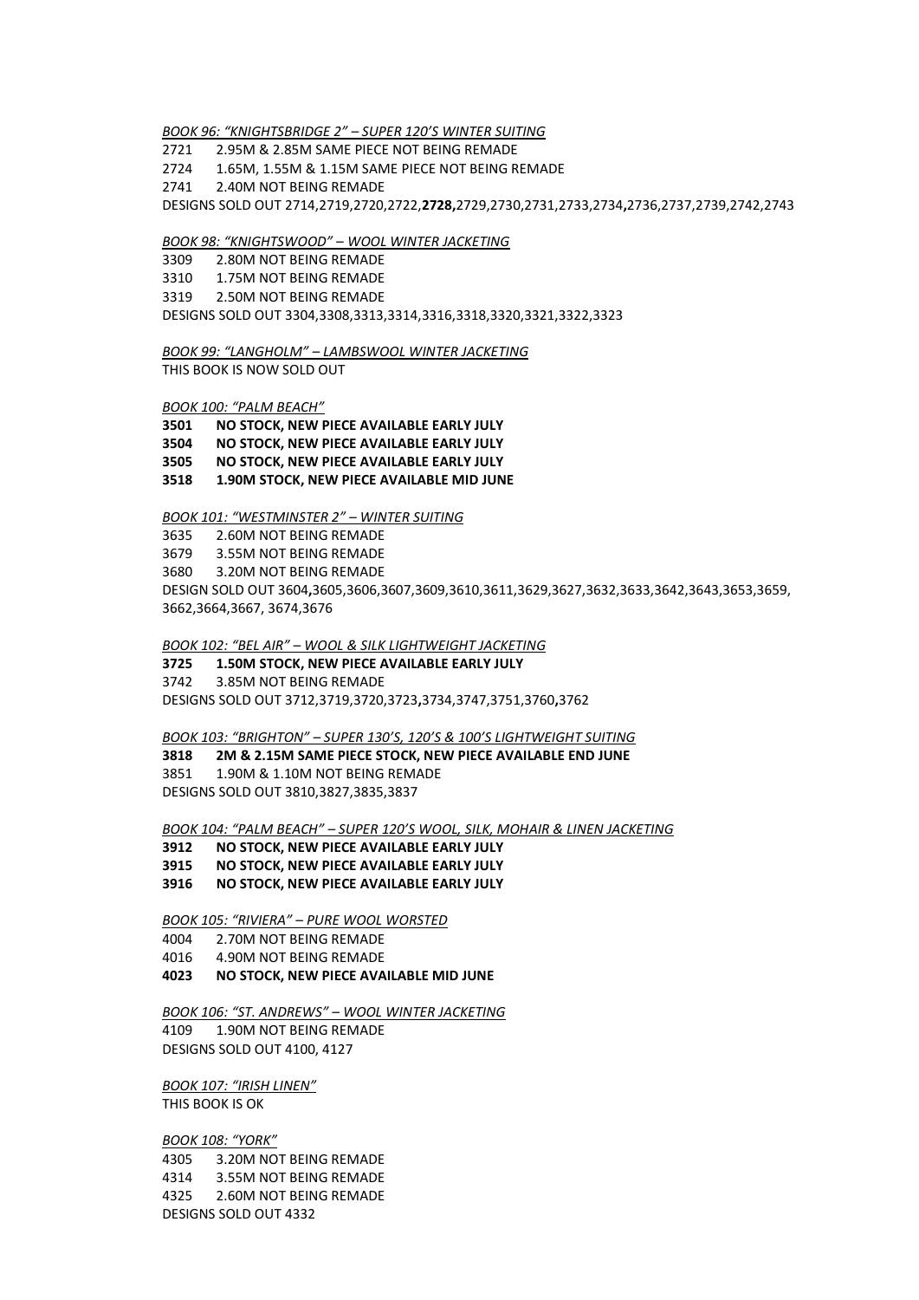BOOK 96: "KNIGHTSBRIDGE 2" – SUPER 120'S WINTER SUITING

2721 2.95M & 2.85M SAME PIECE NOT BEING REMADE

2724 1.65M, 1.55M & 1.15M SAME PIECE NOT BEING REMADE

2741 2.40M NOT BEING REMADE

DESIGNS SOLD OUT 2714,2719,2720,2722,2728,2729,2730,2731,2733,2734,2736,2737,2739,2742,2743

#### BOOK 98: "KNIGHTSWOOD" – WOOL WINTER JACKETING

3309 2.80M NOT BEING REMADE

3310 1.75M NOT BEING REMADE

3319 2.50M NOT BEING REMADE

DESIGNS SOLD OUT 3304,3308,3313,3314,3316,3318,3320,3321,3322,3323

BOOK 99: "LANGHOLM" – LAMBSWOOL WINTER JACKETING

THIS BOOK IS NOW SOLD OUT

#### BOOK 100: "PALM BEACH"

3501 NO STOCK, NEW PIECE AVAILABLE EARLY JULY

3504 NO STOCK, NEW PIECE AVAILABLE EARLY JULY

3505 NO STOCK, NEW PIECE AVAILABLE EARLY JULY

3518 1.90M STOCK, NEW PIECE AVAILABLE MID JUNE

BOOK 101: "WESTMINSTER 2" – WINTER SUITING

3635 2.60M NOT BEING REMADE

3679 3.55M NOT BEING REMADE

3680 3.20M NOT BEING REMADE

DESIGN SOLD OUT 3604,3605,3606,3607,3609,3610,3611,3629,3627,3632,3633,3642,3643,3653,3659, 3662,3664,3667, 3674,3676

BOOK 102: "BEL AIR" – WOOL & SILK LIGHTWEIGHT JACKETING

#### 3725 1.50M STOCK, NEW PIECE AVAILABLE EARLY JULY

3742 3.85M NOT BEING REMADE DESIGNS SOLD OUT 3712,3719,3720,3723,3734,3747,3751,3760,3762

BOOK 103: "BRIGHTON" – SUPER 130'S, 120'S & 100'S LIGHTWEIGHT SUITING

#### 3818 2M & 2.15M SAME PIECE STOCK, NEW PIECE AVAILABLE END JUNE

3851 1.90M & 1.10M NOT BEING REMADE

DESIGNS SOLD OUT 3810,3827,3835,3837

BOOK 104: "PALM BEACH" – SUPER 120'S WOOL, SILK, MOHAIR & LINEN JACKETING

3912 NO STOCK, NEW PIECE AVAILABLE EARLY JULY

3915 NO STOCK, NEW PIECE AVAILABLE EARLY JULY

3916 NO STOCK, NEW PIECE AVAILABLE EARLY JULY

BOOK 105: "RIVIERA" – PURE WOOL WORSTED

4004 2.70M NOT BEING REMADE

- 4016 4.90M NOT BEING REMADE
- 4023 NO STOCK, NEW PIECE AVAILABLE MID JUNE

BOOK 106: "ST. ANDREWS" – WOOL WINTER JACKETING

4109 1.90M NOT BEING REMADE DESIGNS SOLD OUT 4100, 4127

BOOK 107: "IRISH LINEN" THIS BOOK IS OK

BOOK 108: "YORK" 4305 3.20M NOT BEING REMADE 4314 3.55M NOT BEING REMADE 4325 2.60M NOT BEING REMADE DESIGNS SOLD OUT 4332